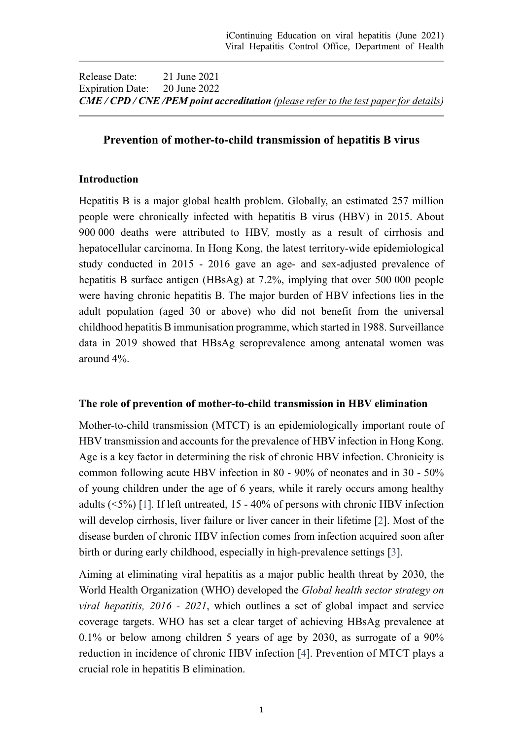Release Date: 21 June 2021 Expiration Date: 20 June 2022 *CME / CPD / CNE /PEM point accreditation (please refer to the test paper for details)*

#### **Prevention of mother-to-child transmission of hepatitis B virus**

#### **Introduction**

Hepatitis B is a major global health problem. Globally, an estimated 257 million people were chronically infected with hepatitis B virus (HBV) in 2015. About 900 000 deaths were attributed to HBV, mostly as a result of cirrhosis and hepatocellular carcinoma. In Hong Kong, the latest territory-wide epidemiological study conducted in 2015 - 2016 gave an age- and sex-adjusted prevalence of hepatitis B surface antigen (HBsAg) at 7.2%, implying that over 500 000 people were having chronic hepatitis B. The major burden of HBV infections lies in the adult population (aged 30 or above) who did not benefit from the universal childhood hepatitis B immunisation programme, which started in 1988. Surveillance data in 2019 showed that HBsAg seroprevalence among antenatal women was around 4%.

#### **The role of prevention of mother-to-child transmission in HBV elimination**

Mother-to-child transmission (MTCT) is an epidemiologically important route of HBV transmission and accounts for the prevalence of HBV infection in Hong Kong. Age is a key factor in determining the risk of chronic HBV infection. Chronicity is common following acute HBV infection in 80 - 90% of neonates and in 30 - 50% of young children under the age of 6 years, while it rarely occurs among healthy adults (<5%) [\[1\]](#page-7-0). If left untreated, 15 - 40% of persons with chronic HBV infection will develop cirrhosis, liver failure or liver cancer in their lifetime [\[2\]](#page-7-1). Most of the disease burden of chronic HBV infection comes from infection acquired soon after birth or during early childhood, especially in high-prevalence settings [\[3\]](#page-7-2).

Aiming at eliminating viral hepatitis as a major public health threat by 2030, the World Health Organization (WHO) developed the *Global health sector strategy on viral hepatitis, 2016 - 2021*, which outlines a set of global impact and service coverage targets. WHO has set a clear target of achieving HBsAg prevalence at 0.1% or below among children 5 years of age by 2030, as surrogate of a 90% reduction in incidence of chronic HBV infection [\[4\]](#page-7-3). Prevention of MTCT plays a crucial role in hepatitis B elimination.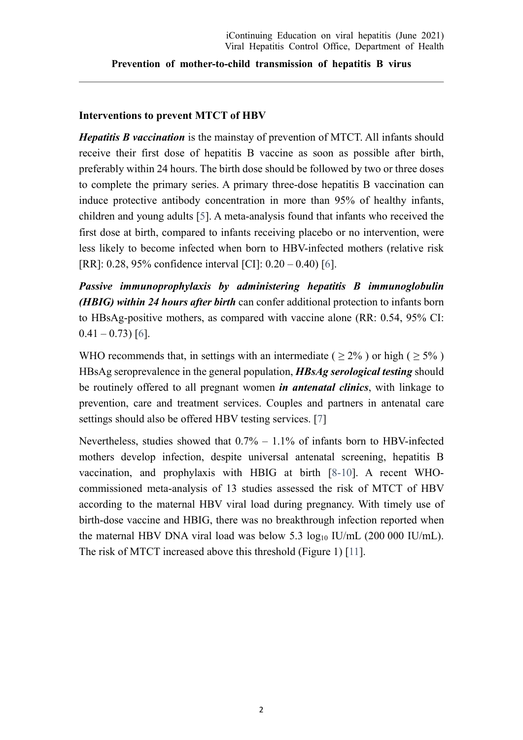#### **Interventions to prevent MTCT of HBV**

*Hepatitis B vaccination* is the mainstay of prevention of MTCT. All infants should receive their first dose of hepatitis B vaccine as soon as possible after birth, preferably within 24 hours. The birth dose should be followed by two or three doses to complete the primary series. A primary three-dose hepatitis B vaccination can induce protective antibody concentration in more than 95% of healthy infants, children and young adults [\[5\]](#page-7-4). A meta-analysis found that infants who received the first dose at birth, compared to infants receiving placebo or no intervention, were less likely to become infected when born to HBV-infected mothers (relative risk [RR]: 0.28, 95% confidence interval [CI]: 0.20 – 0.40) [\[6\]](#page-7-5).

*Passive immunoprophylaxis by administering hepatitis B immunoglobulin (HBIG) within 24 hours after birth* can confer additional protection to infants born to HBsAg-positive mothers, as compared with vaccine alone (RR: 0.54, 95% CI:  $0.41 - 0.73$ ) [\[6\]](#page-7-5).

WHO recommends that, in settings with an intermediate ( $\geq 2\%$ ) or high ( $\geq 5\%$ ) HBsAg seroprevalence in the general population, *HBsAg serological testing* should be routinely offered to all pregnant women *in antenatal clinics*, with linkage to prevention, care and treatment services. Couples and partners in antenatal care settings should also be offered HBV testing services. [\[7\]](#page-7-6)

Nevertheless, studies showed that  $0.7% - 1.1%$  of infants born to HBV-infected mothers develop infection, despite universal antenatal screening, hepatitis B vaccination, and prophylaxis with HBIG at birth [\[8](#page-7-7)[-10\]](#page-7-8). A recent WHOcommissioned meta-analysis of 13 studies assessed the risk of MTCT of HBV according to the maternal HBV viral load during pregnancy. With timely use of birth-dose vaccine and HBIG, there was no breakthrough infection reported when the maternal HBV DNA viral load was below 5.3  $log_{10}$  IU/mL (200 000 IU/mL). The risk of MTCT increased above this threshold (Figure 1) [\[11\]](#page-7-9).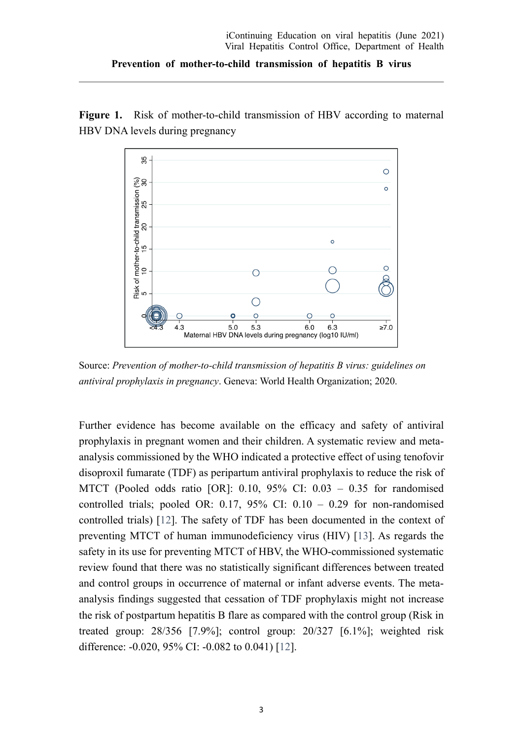Figure 1. Risk of mother-to-child transmission of HBV according to maternal HBV DNA levels during pregnancy



Source: *Prevention of mother-to-child transmission of hepatitis B virus: guidelines on antiviral prophylaxis in pregnancy*. Geneva: World Health Organization; 2020.

Further evidence has become available on the efficacy and safety of antiviral prophylaxis in pregnant women and their children. A systematic review and metaanalysis commissioned by the WHO indicated a protective effect of using tenofovir disoproxil fumarate (TDF) as peripartum antiviral prophylaxis to reduce the risk of MTCT (Pooled odds ratio [OR]: 0.10, 95% CI: 0.03 – 0.35 for randomised controlled trials; pooled OR:  $0.17$ ,  $95\%$  CI:  $0.10 - 0.29$  for non-randomised controlled trials) [\[12\]](#page-7-10). The safety of TDF has been documented in the context of preventing MTCT of human immunodeficiency virus (HIV) [\[13\]](#page-7-11). As regards the safety in its use for preventing MTCT of HBV, the WHO-commissioned systematic review found that there was no statistically significant differences between treated and control groups in occurrence of maternal or infant adverse events. The metaanalysis findings suggested that cessation of TDF prophylaxis might not increase the risk of postpartum hepatitis B flare as compared with the control group (Risk in treated group: 28/356 [7.9%]; control group: 20/327 [6.1%]; weighted risk difference: -0.020, 95% CI: -0.082 to 0.041) [\[12\]](#page-7-10).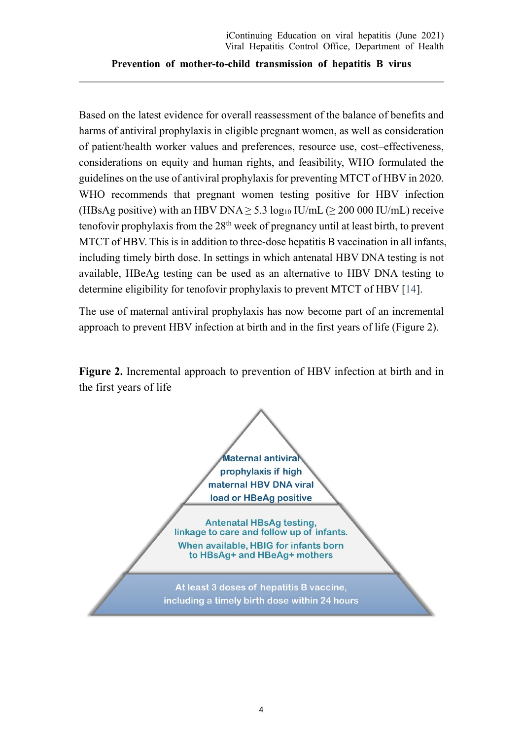Based on the latest evidence for overall reassessment of the balance of benefits and harms of antiviral prophylaxis in eligible pregnant women, as well as consideration of patient/health worker values and preferences, resource use, cost–effectiveness, considerations on equity and human rights, and feasibility, WHO formulated the guidelines on the use of antiviral prophylaxis for preventing MTCT of HBV in 2020. WHO recommends that pregnant women testing positive for HBV infection (HBsAg positive) with an HBV DNA  $> 5.3 \log_{10}$  IU/mL ( $> 200\,000$  IU/mL) receive tenofovir prophylaxis from the  $28<sup>th</sup>$  week of pregnancy until at least birth, to prevent MTCT of HBV. This is in addition to three-dose hepatitis B vaccination in all infants, including timely birth dose. In settings in which antenatal HBV DNA testing is not available, HBeAg testing can be used as an alternative to HBV DNA testing to determine eligibility for tenofovir prophylaxis to prevent MTCT of HBV [\[14\]](#page-8-0).

The use of maternal antiviral prophylaxis has now become part of an incremental approach to prevent HBV infection at birth and in the first years of life (Figure 2).

**Figure 2.** Incremental approach to prevention of HBV infection at birth and in the first years of life

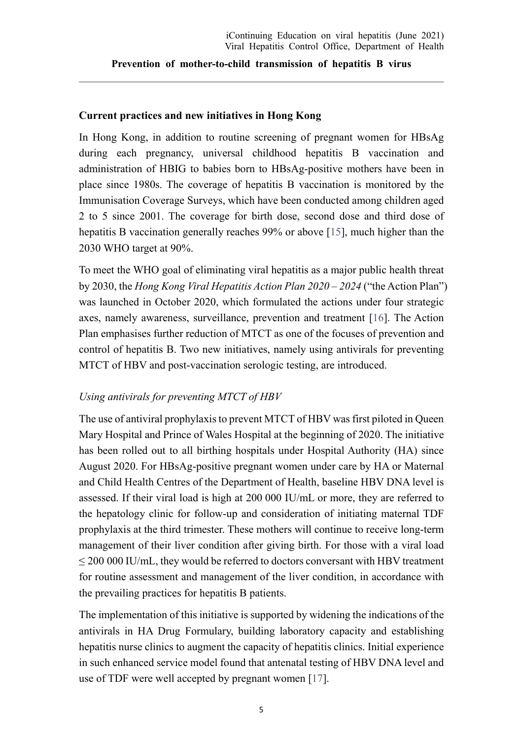#### **Current practices and new initiatives in Hong Kong**

In Hong Kong, in addition to routine screening of pregnant women for HBsAg during each pregnancy, universal childhood hepatitis B vaccination and administration of HBIG to babies born to HBsAg-positive mothers have been in place since 1980s. The coverage of hepatitis B vaccination is monitored by the Immunisation Coverage Surveys, which have been conducted among children aged 2 to 5 since 2001. The coverage for birth dose, second dose and third dose of hepatitis B vaccination generally reaches 99% or above [\[15\]](#page-8-1), much higher than the 2030 WHO target at 90%.

To meet the WHO goal of eliminating viral hepatitis as a major public health threat by 2030, the *Hong Kong Viral Hepatitis Action Plan 2020 – 2024* ("the Action Plan") was launched in October 2020, which formulated the actions under four strategic axes, namely awareness, surveillance, prevention and treatment [\[16\]](#page-8-2). The Action Plan emphasises further reduction of MTCT as one of the focuses of prevention and control of hepatitis B. Two new initiatives, namely using antivirals for preventing MTCT of HBV and post-vaccination serologic testing, are introduced.

#### *Using antivirals for preventing MTCT of HBV*

The use of antiviral prophylaxis to prevent MTCT of HBV was first piloted in Queen Mary Hospital and Prince of Wales Hospital at the beginning of 2020. The initiative has been rolled out to all birthing hospitals under Hospital Authority (HA) since August 2020. For HBsAg-positive pregnant women under care by HA or Maternal and Child Health Centres of the Department of Health, baseline HBV DNA level is assessed. If their viral load is high at 200 000 IU/mL or more, they are referred to the hepatology clinic for follow-up and consideration of initiating maternal TDF prophylaxis at the third trimester. These mothers will continue to receive long-term management of their liver condition after giving birth. For those with a viral load ≤ 200 000 IU/mL, they would be referred to doctors conversant with HBV treatment for routine assessment and management of the liver condition, in accordance with the prevailing practices for hepatitis B patients.

The implementation of this initiative is supported by widening the indications of the antivirals in HA Drug Formulary, building laboratory capacity and establishing hepatitis nurse clinics to augment the capacity of hepatitis clinics. Initial experience in such enhanced service model found that antenatal testing of HBV DNA level and use of TDF were well accepted by pregnant women [\[17\]](#page-8-3).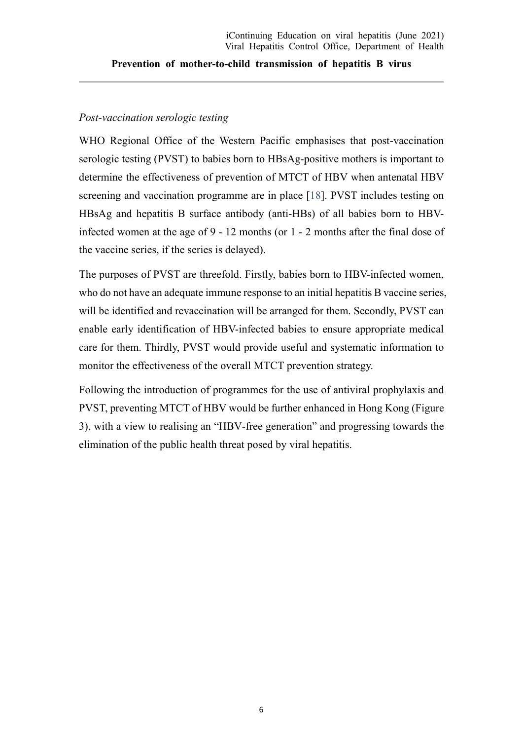#### *Post-vaccination serologic testing*

WHO Regional Office of the Western Pacific emphasises that post-vaccination serologic testing (PVST) to babies born to HBsAg-positive mothers is important to determine the effectiveness of prevention of MTCT of HBV when antenatal HBV screening and vaccination programme are in place [\[18\]](#page-8-4). PVST includes testing on HBsAg and hepatitis B surface antibody (anti-HBs) of all babies born to HBVinfected women at the age of 9 - 12 months (or 1 - 2 months after the final dose of the vaccine series, if the series is delayed).

The purposes of PVST are threefold. Firstly, babies born to HBV-infected women, who do not have an adequate immune response to an initial hepatitis B vaccine series, will be identified and revaccination will be arranged for them. Secondly, PVST can enable early identification of HBV-infected babies to ensure appropriate medical care for them. Thirdly, PVST would provide useful and systematic information to monitor the effectiveness of the overall MTCT prevention strategy.

Following the introduction of programmes for the use of antiviral prophylaxis and PVST, preventing MTCT of HBV would be further enhanced in Hong Kong (Figure 3), with a view to realising an "HBV-free generation" and progressing towards the elimination of the public health threat posed by viral hepatitis.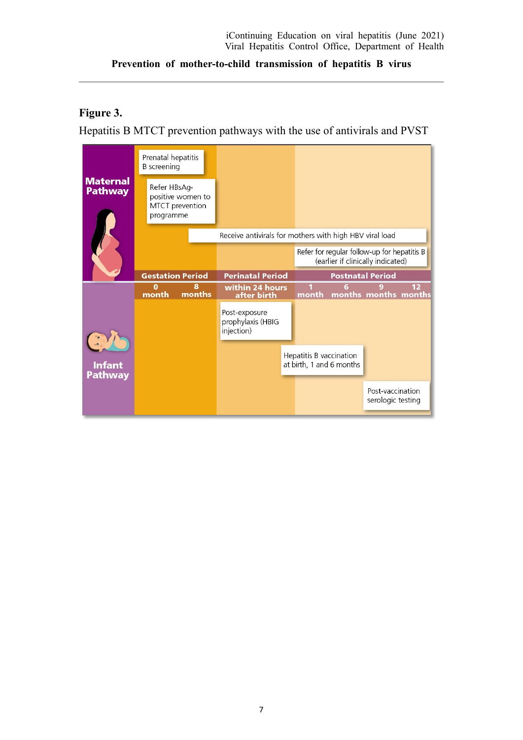### **Figure 3.**

Hepatitis B MTCT prevention pathways with the use of antivirals and PVST

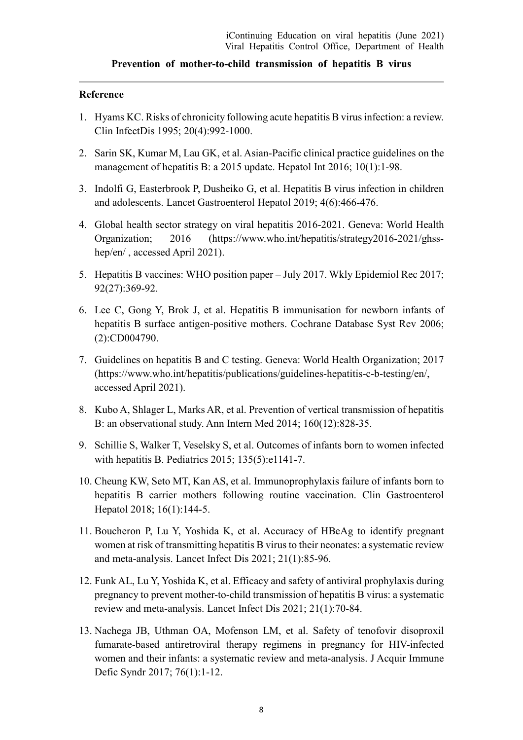#### **Reference**

- <span id="page-7-0"></span>1. Hyams KC. Risks of chronicity following acute hepatitis B virus infection: a review. Clin InfectDis 1995; 20(4):992-1000.
- <span id="page-7-1"></span>2. Sarin SK, Kumar M, Lau GK, et al. Asian-Pacific clinical practice guidelines on the management of hepatitis B: a 2015 update. Hepatol Int 2016; 10(1):1-98.
- <span id="page-7-2"></span>3. Indolfi G, Easterbrook P, Dusheiko G, et al. Hepatitis B virus infection in children and adolescents. Lancet Gastroenterol Hepatol 2019; 4(6):466-476.
- <span id="page-7-3"></span>4. Global health sector strategy on viral hepatitis 2016-2021. Geneva: World Health Organization; 2016 (https://www.who.int/hepatitis/strategy2016-2021/ghsshep/en/ , accessed April 2021).
- <span id="page-7-4"></span>5. Hepatitis B vaccines: WHO position paper – July 2017. Wkly Epidemiol Rec 2017; 92(27):369-92.
- <span id="page-7-5"></span>6. Lee C, Gong Y, Brok J, et al. Hepatitis B immunisation for newborn infants of hepatitis B surface antigen-positive mothers. Cochrane Database Syst Rev 2006; (2):CD004790.
- <span id="page-7-6"></span>7. Guidelines on hepatitis B and C testing. Geneva: World Health Organization; 2017 (https://www.who.int/hepatitis/publications/guidelines-hepatitis-c-b-testing/en/, accessed April 2021).
- <span id="page-7-7"></span>8. Kubo A, Shlager L, Marks AR, et al. Prevention of vertical transmission of hepatitis B: an observational study. Ann Intern Med 2014; 160(12):828-35.
- 9. Schillie S, Walker T, Veselsky S, et al. Outcomes of infants born to women infected with hepatitis B. Pediatrics 2015; 135(5):e1141-7.
- <span id="page-7-8"></span>10. Cheung KW, Seto MT, Kan AS, et al. Immunoprophylaxis failure of infants born to hepatitis B carrier mothers following routine vaccination. Clin Gastroenterol Hepatol 2018; 16(1):144-5.
- <span id="page-7-9"></span>11. Boucheron P, Lu Y, Yoshida K, et al. Accuracy of HBeAg to identify pregnant women at risk of transmitting hepatitis B virus to their neonates: a systematic review and meta-analysis. Lancet Infect Dis 2021; 21(1):85-96.
- <span id="page-7-10"></span>12. Funk AL, Lu Y, Yoshida K, et al. Efficacy and safety of antiviral prophylaxis during pregnancy to prevent mother-to-child transmission of hepatitis B virus: a systematic review and meta-analysis. Lancet Infect Dis 2021; 21(1):70-84.
- <span id="page-7-11"></span>13. Nachega JB, Uthman OA, Mofenson LM, et al. Safety of tenofovir disoproxil fumarate-based antiretroviral therapy regimens in pregnancy for HIV-infected women and their infants: a systematic review and meta-analysis. J Acquir Immune Defic Syndr 2017; 76(1):1-12.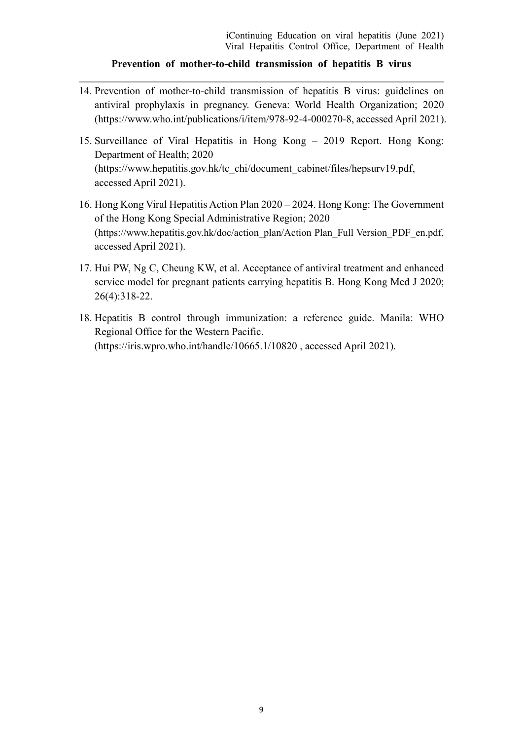- <span id="page-8-0"></span>14. Prevention of mother-to-child transmission of hepatitis B virus: guidelines on antiviral prophylaxis in pregnancy. Geneva: World Health Organization; 2020 (https://www.who.int/publications/i/item/978-92-4-000270-8, accessed April 2021).
- <span id="page-8-1"></span>15. Surveillance of Viral Hepatitis in Hong Kong – 2019 Report. Hong Kong: Department of Health; 2020 (https://www.hepatitis.gov.hk/tc\_chi/document\_cabinet/files/hepsurv19.pdf, accessed April 2021).
- <span id="page-8-2"></span>16. Hong Kong Viral Hepatitis Action Plan 2020 – 2024. Hong Kong: The Government of the Hong Kong Special Administrative Region; 2020 (https://www.hepatitis.gov.hk/doc/action\_plan/Action Plan\_Full Version\_PDF\_en.pdf, accessed April 2021).
- <span id="page-8-3"></span>17. Hui PW, Ng C, Cheung KW, et al. Acceptance of antiviral treatment and enhanced service model for pregnant patients carrying hepatitis B. Hong Kong Med J 2020; 26(4):318-22.
- <span id="page-8-4"></span>18. Hepatitis B control through immunization: a reference guide. Manila: WHO Regional Office for the Western Pacific. (https://iris.wpro.who.int/handle/10665.1/10820 , accessed April 2021).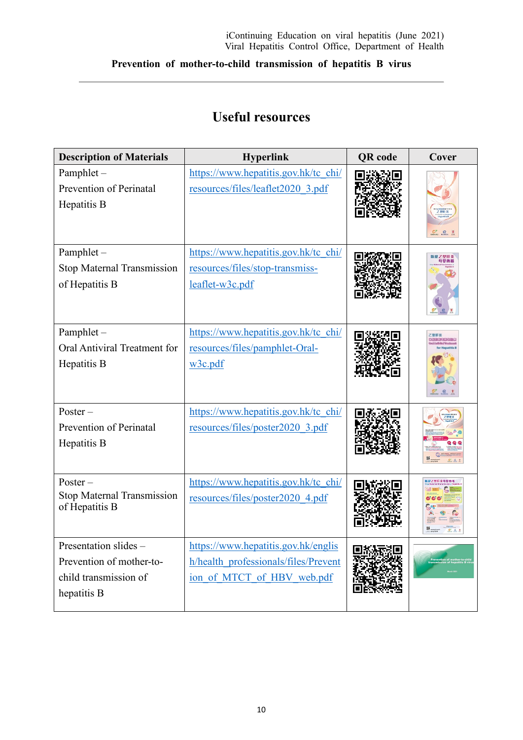# **Useful resources**

| <b>Description of Materials</b>                                                           | <b>Hyperlink</b>                                                                                          | <b>QR</b> code | Cover |
|-------------------------------------------------------------------------------------------|-----------------------------------------------------------------------------------------------------------|----------------|-------|
| Pamphlet -<br>Prevention of Perinatal<br>Hepatitis B                                      | https://www.hepatitis.gov.hk/tc_chi/<br>resources/files/leaflet2020 3.pdf                                 |                |       |
| Pamphlet-<br><b>Stop Maternal Transmission</b><br>of Hepatitis B                          | https://www.hepatitis.gov.hk/tc_chi/<br>resources/files/stop-transmiss-<br>leaflet-w3c.pdf                |                |       |
| Pamphlet-<br>Oral Antiviral Treatment for<br>Hepatitis B                                  | https://www.hepatitis.gov.hk/tc_chi/<br>resources/files/pamphlet-Oral-<br>w3c.pdf                         |                |       |
| $Poster -$<br>Prevention of Perinatal<br>Hepatitis B                                      | https://www.hepatitis.gov.hk/tc_chi/<br>resources/files/poster2020_3.pdf                                  |                |       |
| $Poster -$<br>Stop Maternal Transmission<br>of Hepatitis B                                | https://www.hepatitis.gov.hk/tc chi/<br>resources/files/poster2020 4.pdf                                  |                |       |
| Presentation slides -<br>Prevention of mother-to-<br>child transmission of<br>hepatitis B | https://www.hepatitis.gov.hk/englis<br>h/health professionals/files/Prevent<br>ion of MTCT of HBV web.pdf |                |       |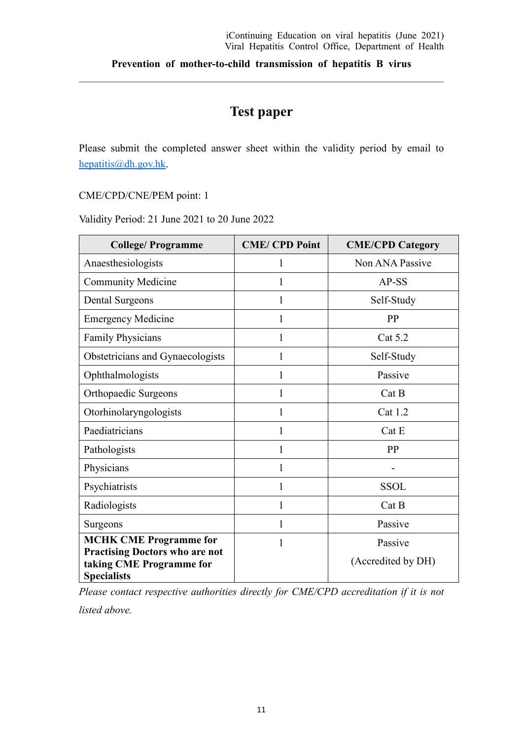## **Test paper**

Please submit the completed answer sheet within the validity period by email to [hepatitis@dh.gov.hk.](mailto:hepatitis@dh.gov.hk)

CME/CPD/CNE/PEM point: 1

Validity Period: 21 June 2021 to 20 June 2022

| <b>College/Programme</b>                                                                | <b>CME/CPD Point</b> | <b>CME/CPD Category</b> |  |
|-----------------------------------------------------------------------------------------|----------------------|-------------------------|--|
| Anaesthesiologists                                                                      | 1                    | Non ANA Passive         |  |
| <b>Community Medicine</b>                                                               | 1                    | AP-SS                   |  |
| <b>Dental Surgeons</b>                                                                  | 1                    | Self-Study              |  |
| <b>Emergency Medicine</b>                                                               | 1                    | PP                      |  |
| <b>Family Physicians</b>                                                                | 1                    | Cat 5.2                 |  |
| Obstetricians and Gynaecologists                                                        | 1                    | Self-Study              |  |
| Ophthalmologists                                                                        | 1                    | Passive                 |  |
| Orthopaedic Surgeons                                                                    | 1                    | Cat B                   |  |
| Otorhinolaryngologists                                                                  | 1                    | Cat 1.2                 |  |
| Paediatricians                                                                          | 1                    | Cat E                   |  |
| Pathologists                                                                            | 1                    | PP                      |  |
| Physicians                                                                              | 1                    |                         |  |
| Psychiatrists                                                                           | 1                    | <b>SSOL</b>             |  |
| Radiologists                                                                            | 1                    | Cat B                   |  |
| Surgeons                                                                                | 1                    | Passive                 |  |
| <b>MCHK CME Programme for</b>                                                           | 1                    | Passive                 |  |
| <b>Practising Doctors who are not</b><br>taking CME Programme for<br><b>Specialists</b> |                      | (Accredited by DH)      |  |

*Please contact respective authorities directly for CME/CPD accreditation if it is not* 

*listed above.*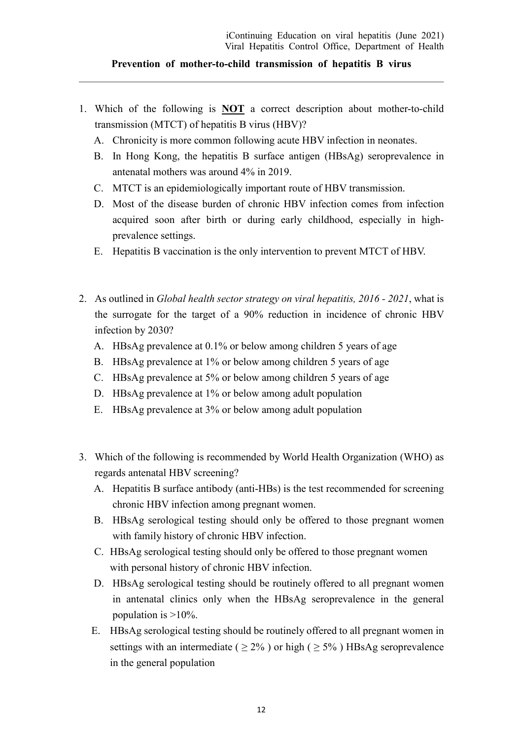- 1. Which of the following is **NOT** a correct description about mother-to-child transmission (MTCT) of hepatitis B virus (HBV)?
	- A. Chronicity is more common following acute HBV infection in neonates.
	- B. In Hong Kong, the hepatitis B surface antigen (HBsAg) seroprevalence in antenatal mothers was around 4% in 2019.
	- C. MTCT is an epidemiologically important route of HBV transmission.
	- D. Most of the disease burden of chronic HBV infection comes from infection acquired soon after birth or during early childhood, especially in highprevalence settings.
	- E. Hepatitis B vaccination is the only intervention to prevent MTCT of HBV.
- 2. As outlined in *Global health sector strategy on viral hepatitis, 2016 - 2021*, what is the surrogate for the target of a 90% reduction in incidence of chronic HBV infection by 2030?
	- A. HBsAg prevalence at 0.1% or below among children 5 years of age
	- B. HBsAg prevalence at 1% or below among children 5 years of age
	- C. HBsAg prevalence at 5% or below among children 5 years of age
	- D. HBsAg prevalence at 1% or below among adult population
	- E. HBsAg prevalence at 3% or below among adult population
- 3. Which of the following is recommended by World Health Organization (WHO) as regards antenatal HBV screening?
	- A. Hepatitis B surface antibody (anti-HBs) is the test recommended for screening chronic HBV infection among pregnant women.
	- B. HBsAg serological testing should only be offered to those pregnant women with family history of chronic HBV infection.
	- C. HBsAg serological testing should only be offered to those pregnant women with personal history of chronic HBV infection.
	- D. HBsAg serological testing should be routinely offered to all pregnant women in antenatal clinics only when the HBsAg seroprevalence in the general population is  $>10\%$ .
	- E. HBsAg serological testing should be routinely offered to all pregnant women in settings with an intermediate ( $\geq 2\%$ ) or high ( $\geq 5\%$ ) HBsAg seroprevalence in the general population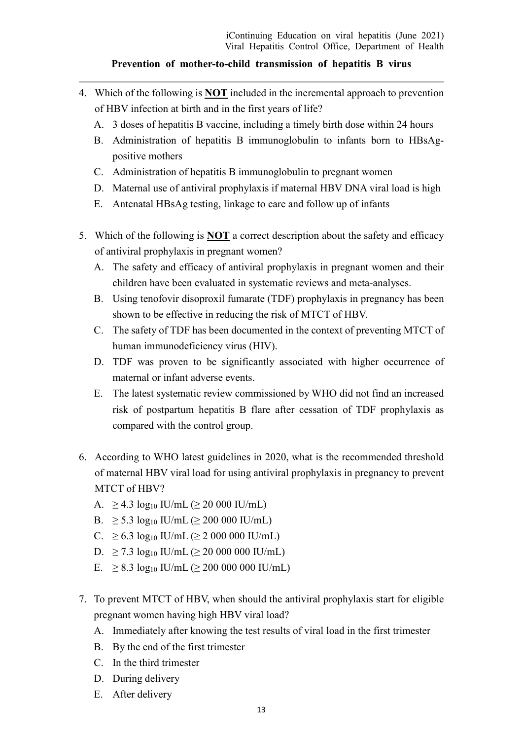- 4. Which of the following is **NOT** included in the incremental approach to prevention of HBV infection at birth and in the first years of life?
	- A. 3 doses of hepatitis B vaccine, including a timely birth dose within 24 hours
	- B. Administration of hepatitis B immunoglobulin to infants born to HBsAgpositive mothers
	- C. Administration of hepatitis B immunoglobulin to pregnant women
	- D. Maternal use of antiviral prophylaxis if maternal HBV DNA viral load is high
	- E. Antenatal HBsAg testing, linkage to care and follow up of infants
- 5. Which of the following is **NOT** a correct description about the safety and efficacy of antiviral prophylaxis in pregnant women?
	- A. The safety and efficacy of antiviral prophylaxis in pregnant women and their children have been evaluated in systematic reviews and meta-analyses.
	- B. Using tenofovir disoproxil fumarate (TDF) prophylaxis in pregnancy has been shown to be effective in reducing the risk of MTCT of HBV.
	- C. The safety of TDF has been documented in the context of preventing MTCT of human immunodeficiency virus (HIV).
	- D. TDF was proven to be significantly associated with higher occurrence of maternal or infant adverse events.
	- E. The latest systematic review commissioned by WHO did not find an increased risk of postpartum hepatitis B flare after cessation of TDF prophylaxis as compared with the control group.
- 6. According to WHO latest guidelines in 2020, what is the recommended threshold of maternal HBV viral load for using antiviral prophylaxis in pregnancy to prevent MTCT of HBV?
	- A.  $\geq 4.3 \log_{10} \text{IU/mL} (\geq 20\,000 \text{IU/mL})$
	- B.  $\geq 5.3 \log_{10} \text{IU/mL} (\geq 200\ 000 \text{IU/mL})$
	- C.  $\geq 6.3 \log_{10} \text{IU/mL} (\geq 2000000 \text{IU/mL})$
	- D.  $\geq$  7.3 log<sub>10</sub> IU/mL ( $\geq$  20 000 000 IU/mL)
	- E.  $\geq 8.3 \log_{10}$  IU/mL ( $\geq 200\ 000\ 000$  IU/mL)
- 7. To prevent MTCT of HBV, when should the antiviral prophylaxis start for eligible pregnant women having high HBV viral load?
	- A. Immediately after knowing the test results of viral load in the first trimester
	- B. By the end of the first trimester
	- C. In the third trimester
	- D. During delivery
	- E. After delivery